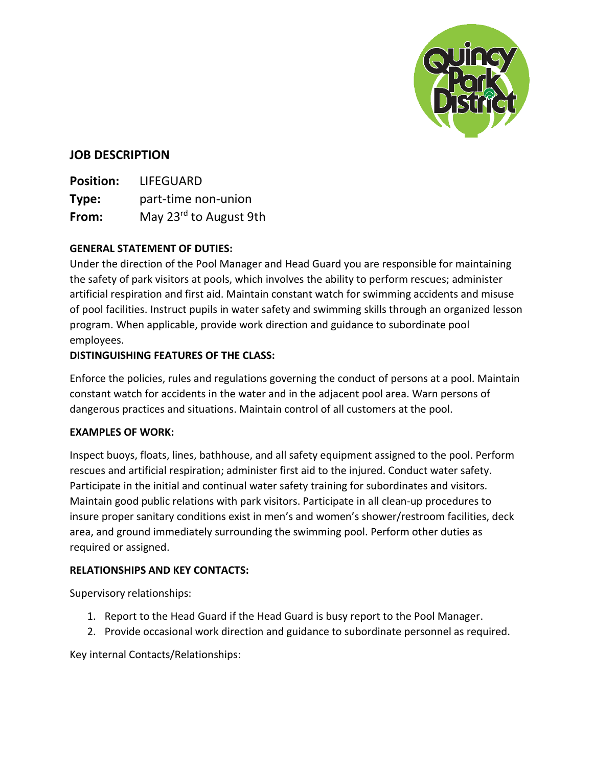

# **JOB DESCRIPTION**

**Position:** LIFEGUARD **Type:** part-time non-union From: May 23<sup>rd</sup> to August 9th

## **GENERAL STATEMENT OF DUTIES:**

Under the direction of the Pool Manager and Head Guard you are responsible for maintaining the safety of park visitors at pools, which involves the ability to perform rescues; administer artificial respiration and first aid. Maintain constant watch for swimming accidents and misuse of pool facilities. Instruct pupils in water safety and swimming skills through an organized lesson program. When applicable, provide work direction and guidance to subordinate pool employees.

### **DISTINGUISHING FEATURES OF THE CLASS:**

Enforce the policies, rules and regulations governing the conduct of persons at a pool. Maintain constant watch for accidents in the water and in the adjacent pool area. Warn persons of dangerous practices and situations. Maintain control of all customers at the pool.

#### **EXAMPLES OF WORK:**

Inspect buoys, floats, lines, bathhouse, and all safety equipment assigned to the pool. Perform rescues and artificial respiration; administer first aid to the injured. Conduct water safety. Participate in the initial and continual water safety training for subordinates and visitors. Maintain good public relations with park visitors. Participate in all clean-up procedures to insure proper sanitary conditions exist in men's and women's shower/restroom facilities, deck area, and ground immediately surrounding the swimming pool. Perform other duties as required or assigned.

## **RELATIONSHIPS AND KEY CONTACTS:**

Supervisory relationships:

- 1. Report to the Head Guard if the Head Guard is busy report to the Pool Manager.
- 2. Provide occasional work direction and guidance to subordinate personnel as required.

Key internal Contacts/Relationships: